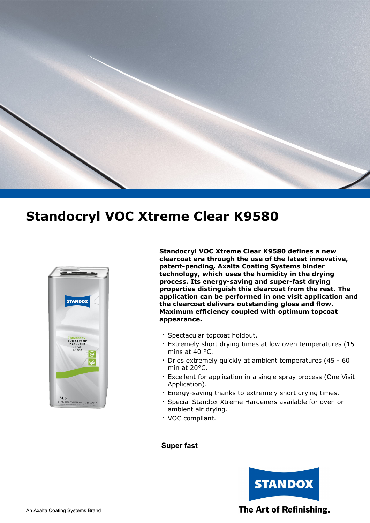



**Standocryl VOC Xtreme Clear K9580 defines a new clearcoat era through the use of the latest innovative, patent-pending, Axalta Coating Systems binder technology, which uses the humidity in the drying process. Its energy-saving and super-fast drying properties distinguish this clearcoat from the rest. The application can be performed in one visit application and the clearcoat delivers outstanding gloss and flow. Maximum efficiency coupled with optimum topcoat appearance.**

- Spectacular topcoat holdout. **.**
- Extremely short drying times at low oven temperatures (15 **.** mins at 40 °C.
- Dries extremely quickly at ambient temperatures (45 60 **.** min at 20°C.
- Excellent for application in a single spray process (One Visit **.** Application).
- Energy-saving thanks to extremely short drying times. **.**
- Special Standox Xtreme Hardeners available for oven or **.** ambient air drying.
- VOC compliant. **.**

#### **Super fast**



#### The Art of Refinishing.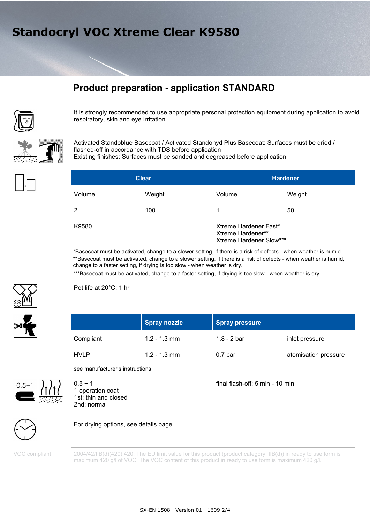### **Product preparation - application STANDARD**



It is strongly recommended to use appropriate personal protection equipment during application to avoid respiratory, skin and eye irritation.

Activated Standoblue Basecoat / Activated Standohyd Plus Basecoat: Surfaces must be dried / flashed-off in accordance with TDS before application Existing finishes: Surfaces must be sanded and degreased before application

| <b>Clear</b> |        | <b>Hardener</b>                                                       |        |
|--------------|--------|-----------------------------------------------------------------------|--------|
| Volume       | Weight | Volume                                                                | Weight |
| 2            | 100    |                                                                       | 50     |
| K9580        |        | Xtreme Hardener Fast*<br>Xtreme Hardener**<br>Xtreme Hardener Slow*** |        |

\*Basecoat must be activated, change to a slower setting, if there is a risk of defects - when weather is humid. \*\*Basecoat must be activated, change to a slower setting, if there is a risk of defects - when weather is humid, change to a faster setting, if drying is too slow - when weather is dry.

\*\*\*Basecoat must be activated, change to a faster setting, if drying is too slow - when weather is dry.



Pot life at 20°C: 1 hr

|             | <b>Spray nozzle</b> | <b>Spray pressure</b> |                      |
|-------------|---------------------|-----------------------|----------------------|
| Compliant   | $1.2 - 1.3$ mm      | 1.8 - 2 bar           | inlet pressure       |
| <b>HVLP</b> | $1.2 - 1.3$ mm      | 0.7 <sub>bar</sub>    | atomisation pressure |

see manufacturer's instructions



1 operation coat 1st: thin and closed 2nd: normal

final flash-off: 5 min - 10 min



For drying options, see details page

VOC compliant

2004/42/IIB(d)(420) 420: The EU limit value for this product (product category: IIB(d)) in ready to use form is maximum 420 g/l of VOC. The VOC content of this product in ready to use form is maximum 420 g/l.



SX-EN 1508 Version 01 1609 2/4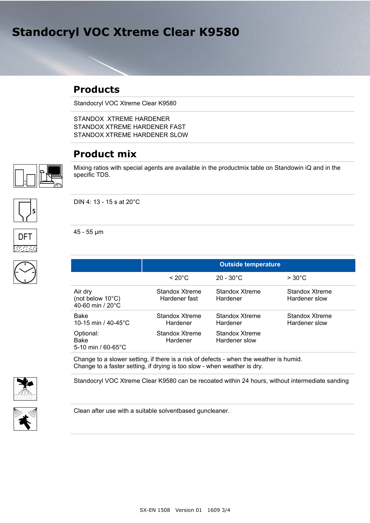### **Products**

Standocryl VOC Xtreme Clear K9580

STANDOX XTREME HARDENER STANDOX XTREME HARDENER FAST STANDOX XTREME HARDENER SLOW

### **Product mix**



Mixing ratios with special agents are available in the productmix table on Standowin iQ and in the specific TDS.



**DFT** 

DIN 4: 13 - 15 s at 20°C

45 - 55 µm

|                                                            | <b>Outside temperature</b>      |                                 |                                 |
|------------------------------------------------------------|---------------------------------|---------------------------------|---------------------------------|
|                                                            | $< 20^{\circ}$ C                | $20 - 30^{\circ}$ C             | $>30^{\circ}$ C                 |
| Air dry<br>(not below $10^{\circ}$ C)<br>40-60 min / 20°C  | Standox Xtreme<br>Hardener fast | Standox Xtreme<br>Hardener      | Standox Xtreme<br>Hardener slow |
| Bake<br>10-15 min / $40-45^{\circ}$ C                      | Standox Xtreme<br>Hardener      | Standox Xtreme<br>Hardener      | Standox Xtreme<br>Hardener slow |
| Optional:<br><b>Bake</b><br>5-10 min / $60 - 65^{\circ}$ C | Standox Xtreme<br>Hardener      | Standox Xtreme<br>Hardener slow |                                 |

Change to a slower setting, if there is a risk of defects - when the weather is humid. Change to a faster setting, if drying is too slow - when weather is dry.





Clean after use with a suitable solventbased guncleaner.